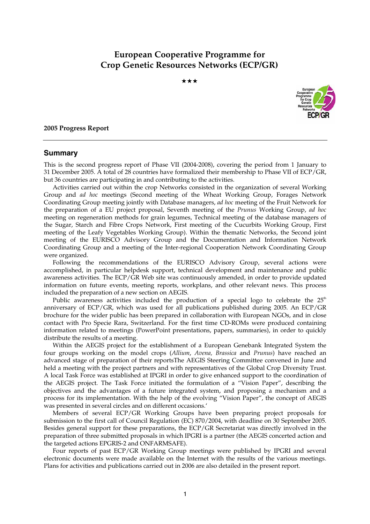# **European Cooperative Programme for Crop Genetic Resources Networks (ECP/GR)**

★★★



#### **2005 Progress Report**

#### **Summary**

This is the second progress report of Phase VII (2004-2008), covering the period from 1 January to 31 December 2005. A total of 28 countries have formalized their membership to Phase VII of ECP/GR, but 36 countries are participating in and contributing to the activities.

Activities carried out within the crop Networks consisted in the organization of several Working Group and *ad hoc* meetings (Second meeting of the Wheat Working Group, Forages Network Coordinating Group meeting jointly with Database managers, *ad hoc* meeting of the Fruit Network for the preparation of a EU project proposal, Seventh meeting of the *Prunus* Working Group, *ad hoc* meeting on regeneration methods for grain legumes, Technical meeting of the database managers of the Sugar, Starch and Fibre Crops Network, First meeting of the Cucurbits Working Group, First meeting of the Leafy Vegetables Working Group). Within the thematic Networks, the Second joint meeting of the EURISCO Advisory Group and the Documentation and Information Network Coordinating Group and a meeting of the Inter-regional Cooperation Network Coordinating Group were organized.

Following the recommendations of the EURISCO Advisory Group, several actions were accomplished, in particular helpdesk support, technical development and maintenance and public awareness activities. The ECP/GR Web site was continuously amended, in order to provide updated information on future events, meeting reports, workplans, and other relevant news. This process included the preparation of a new section on AEGIS.

Public awareness activities included the production of a special logo to celebrate the  $25<sup>th</sup>$ anniversary of ECP/GR, which was used for all publications published during 2005. An ECP/GR brochure for the wider public has been prepared in collaboration with European NGOs, and in close contact with Pro Specie Rara, Switzerland. For the first time CD-ROMs were produced containing information related to meetings (PowerPoint presentations, papers, summaries), in order to quickly distribute the results of a meeting.

Within the AEGIS project for the establishment of a European Genebank Integrated System the four groups working on the model crops (*Allium*, *Avena, Brassica* and *Prunus*) have reached an advanced stage of preparation of their reportsThe AEGIS Steering Committee convened in June and held a meeting with the project partners and with representatives of the Global Crop Diversity Trust. A local Task Force was established at IPGRI in order to give enhanced support to the coordination of the AEGIS project. The Task Force initiated the formulation of a "Vision Paper", describing the objectives and the advantages of a future integrated system, and proposing a mechanism and a process for its implementation. With the help of the evolving "Vision Paper", the concept of AEGIS was presented in several circles and on different occasions.'

Members of several ECP/GR Working Groups have been preparing project proposals for submission to the first call of Council Regulation (EC) 870/2004, with deadline on 30 September 2005. Besides general support for these preparations, the ECP/GR Secretariat was directly involved in the preparation of three submitted proposals in which IPGRI is a partner (the AEGIS concerted action and the targeted actions EPGRIS-2 and ONFARMSAFE).

Four reports of past ECP/GR Working Group meetings were published by IPGRI and several electronic documents were made available on the Internet with the results of the various meetings. Plans for activities and publications carried out in 2006 are also detailed in the present report.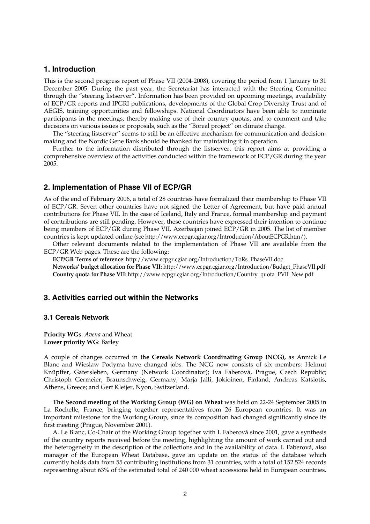## **1. Introduction**

This is the second progress report of Phase VII (2004-2008), covering the period from 1 January to 31 December 2005. During the past year, the Secretariat has interacted with the Steering Committee through the "steering listserver". Information has been provided on upcoming meetings, availability of ECP/GR reports and IPGRI publications, developments of the Global Crop Diversity Trust and of AEGIS, training opportunities and fellowships. National Coordinators have been able to nominate participants in the meetings, thereby making use of their country quotas, and to comment and take decisions on various issues or proposals, such as the "Boreal project" on climate change.

The "steering listserver" seems to still be an effective mechanism for communication and decisionmaking and the Nordic Gene Bank should be thanked for maintaining it in operation.

Further to the information distributed through the listserver, this report aims at providing a comprehensive overview of the activities conducted within the framework of ECP/GR during the year 2005.

## **2. Implementation of Phase VII of ECP/GR**

As of the end of February 2006, a total of 28 countries have formalized their membership to Phase VII of ECP/GR. Seven other countries have not signed the Letter of Agreement, but have paid annual contributions for Phase VII. In the case of Iceland, Italy and France, formal membership and payment of contributions are still pending. However, these countries have expressed their intention to continue being members of ECP/GR during Phase VII. Azerbaijan joined ECP/GR in 2005. The list of member countries is kept updated online (see http://www.ecpgr.cgiar.org/Introduction/AboutECPGR.htm/).

Other relevant documents related to the implementation of Phase VII are available from the ECP/GR Web pages. These are the following:

**ECP/GR Terms of reference**: http://www.ecpgr.cgiar.org/Introduction/ToRs\_PhaseVII.doc **Networks' budget allocation for Phase VII:** http://www.ecpgr.cgiar.org/Introduction/Budget\_PhaseVII.pdf **Country quota for Phase VII:** http://www.ecpgr.cgiar.org/Introduction/Country\_quota\_PVII\_New.pdf

## **3. Activities carried out within the Networks**

## **3.1 Cereals Network**

**Priority WGs**: *Avena* and Wheat **Lower priority WG**: Barley

A couple of changes occurred in **the Cereals Network Coordinating Group (NCG),** as Annick Le Blanc and Wieslaw Podyma have changed jobs. The NCG now consists of six members: Helmut Knüpffer, Gatersleben, Germany (Network Coordinator); Iva Faberová, Prague, Czech Republic; Christoph Germeier, Braunschweig, Germany; Marja Jalli, Jokioinen, Finland; Andreas Katsiotis, Athens, Greece; and Gert Kleijer, Nyon, Switzerland.

**The Second meeting of the Working Group (WG) on Wheat** was held on 22-24 September 2005 in La Rochelle, France, bringing together representatives from 26 European countries. It was an important milestone for the Working Group, since its composition had changed significantly since its first meeting (Prague, November 2001).

A. Le Blanc, Co-Chair of the Working Group together with I. Faberová since 2001, gave a synthesis of the country reports received before the meeting, highlighting the amount of work carried out and the heterogeneity in the description of the collections and in the availability of data. I. Faberová, also manager of the European Wheat Database, gave an update on the status of the database which currently holds data from 55 contributing institutions from 31 countries, with a total of 152 524 records representing about 63% of the estimated total of 240 000 wheat accessions held in European countries.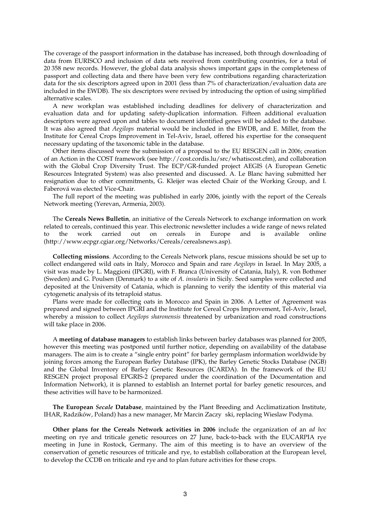The coverage of the passport information in the database has increased, both through downloading of data from EURISCO and inclusion of data sets received from contributing countries, for a total of 20 358 new records. However, the global data analysis shows important gaps in the completeness of passport and collecting data and there have been very few contributions regarding characterization data for the six descriptors agreed upon in 2001 (less than 7% of characterization/evaluation data are included in the EWDB). The six descriptors were revised by introducing the option of using simplified alternative scales.

A new workplan was established including deadlines for delivery of characterization and evaluation data and for updating safety-duplication information. Fifteen additional evaluation descriptors were agreed upon and tables to document identified genes will be added to the database. It was also agreed that *Aegilops* material would be included in the EWDB, and E. Millet, from the Institute for Cereal Crops Improvement in Tel-Aviv, Israel, offered his expertise for the consequent necessary updating of the taxonomic table in the database.

Other items discussed were the submission of a proposal to the EU RESGEN call in 2006; creation of an Action in the COST framework (see http://cost.cordis.lu/src/whatiscost.cfm), and collaboration with the Global Crop Diversity Trust. The ECP/GR-funded project AEGIS (A European Genetic Resources Integrated System) was also presented and discussed. A. Le Blanc having submitted her resignation due to other commitments, G. Kleijer was elected Chair of the Working Group, and I. Faberová was elected Vice-Chair.

The full report of the meeting was published in early 2006, jointly with the report of the Cereals Network meeting (Yerevan, Armenia, 2003).

 The **Cereals News Bulletin***,* an initiative of the Cereals Network to exchange information on work related to cereals, continued this year. This electronic newsletter includes a wide range of news related to the work carried out on cereals in Europe and is available online (http://www.ecpgr.cgiar.org/Networks/Cereals/cerealsnews.asp).

 **Collecting missions**. According to the Cereals Network plans, rescue missions should be set up to collect endangered wild oats in Italy, Morocco and Spain and rare *Aegilops* in Israel. In May 2005, a visit was made by L. Maggioni (IPGRI), with F. Branca (University of Catania, Italy), R. von Bothmer (Sweden) and G. Poulsen (Denmark) to a site of *A. insularis* in Sicily. Seed samples were collected and deposited at the University of Catania, which is planning to verify the identity of this material via cytogenetic analysis of its tetraploid status.

Plans were made for collecting oats in Morocco and Spain in 2006. A Letter of Agreement was prepared and signed between IPGRI and the Institute for Cereal Crops Improvement, Tel-Aviv, Israel, whereby a mission to collect *Aegilops sharonensis* threatened by urbanization and road constructions will take place in 2006.

 A **meeting of database managers** to establish links between barley databases was planned for 2005, however this meeting was postponed until further notice, depending on availability of the database managers. The aim is to create a "single entry point" for barley germplasm information worldwide by joining forces among the European Barley Database (IPK), the Barley Genetic Stocks Database (NGB) and the Global Inventory of Barley Genetic Resources (ICARDA). In the framework of the EU RESGEN project proposal EPGRIS-2 (prepared under the coordination of the Documentation and Information Network), it is planned to establish an Internet portal for barley genetic resources, and these activities will have to be harmonized.

 **The European** *Secale* **Database**, maintained by the Plant Breeding and Acclimatization Institute, IHAR, Radzików, Poland) has a new manager, Mr Marcin Zaczy ski, replacing Wieslaw Podyma.

**Other plans for the Cereals Network activities in 2006** include the organization of an *ad hoc* meeting on rye and triticale genetic resources on 27 June, back-to-back with the EUCARPIA rye meeting in June in Rostock, Germany**.** The aim of this meeting is to have an overview of the conservation of genetic resources of triticale and rye, to establish collaboration at the European level, to develop the CCDB on triticale and rye and to plan future activities for these crops.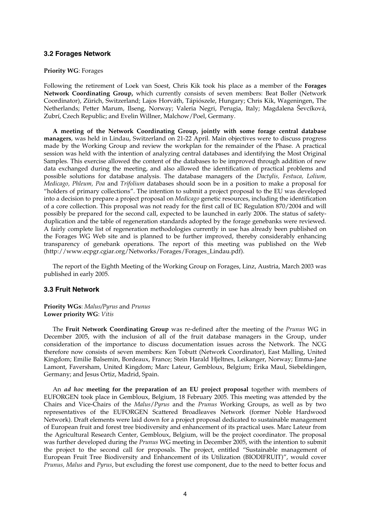#### **3.2 Forages Network**

#### **Priority WG**: Forages

Following the retirement of Loek van Soest, Chris Kik took his place as a member of the **Forages Network Coordinating Group,** which currently consists of seven members: Beat Boller (Network Coordinator), Zürich, Switzerland; Lajos Horváth, Tápiószele, Hungary; Chris Kik, Wageningen, The Netherlands; Petter Marum, Ilseng, Norway; Valeria Negri, Perugia, Italy; Magdalena Ševcíková, Zubrí, Czech Republic; and Evelin Willner, Malchow/Poel, Germany.

**A meeting of the Network Coordinating Group, jointly with some forage central database managers**, was held in Lindau, Switzerland on 21-22 April. Main objectives were to discuss progress made by the Working Group and review the workplan for the remainder of the Phase. A practical session was held with the intention of analyzing central databases and identifying the Most Original Samples. This exercise allowed the content of the databases to be improved through addition of new data exchanged during the meeting, and also allowed the identification of practical problems and possible solutions for database analysis. The database managers of the *Dactylis, Festuca, Lolium, Medicago, Phleum, Poa* and *Trifolium* databases should soon be in a position to make a proposal for "holders of primary collections". The intention to submit a project proposal to the EU was developed into a decision to prepare a project proposal on *Medicago* genetic resources, including the identification of a core collection. This proposal was not ready for the first call of EC Regulation 870/2004 and will possibly be prepared for the second call, expected to be launched in early 2006. The status of safetyduplication and the table of regeneration standards adopted by the forage genebanks were reviewed. A fairly complete list of regeneration methodologies currently in use has already been published on the Forages WG Web site and is planned to be further improved, thereby considerably enhancing transparency of genebank operations. The report of this meeting was published on the Web (http://www.ecpgr.cgiar.org/Networks/Forages/Forages\_Lindau.pdf).

The report of the Eighth Meeting of the Working Group on Forages, Linz, Austria, March 2003 was published in early 2005.

## **3.3 Fruit Network**

**Priority WGs**: *Malus/Pyrus* and *Prunus* **Lower priority WG**: *Vitis*

 The **Fruit Network Coordinating Group** was re-defined after the meeting of the *Prunus* WG in December 2005, with the inclusion of all of the fruit database managers in the Group, under consideration of the importance to discuss documentation issues across the Network. The NCG therefore now consists of seven members: Ken Tobutt (Network Coordinator), East Malling, United Kingdom; Emilie Balsemin, Bordeaux, France; Stein Harald Hjeltnes, Leikanger, Norway; Emma-Jane Lamont, Faversham, United Kingdom; Marc Lateur, Gembloux, Belgium; Erika Maul, Siebeldingen, Germany; and Jesus Ortiz, Madrid, Spain.

 An *ad hoc* **meeting for the preparation of an EU project proposal** together with members of EUFORGEN took place in Gembloux, Belgium, 18 February 2005. This meeting was attended by the Chairs and Vice-Chairs of the *Malus*/*Pyrus* and the *Prunus* Working Groups, as well as by two representatives of the EUFORGEN Scattered Broadleaves Network (former Noble Hardwood Network). Draft elements were laid down for a project proposal dedicated to sustainable management of European fruit and forest tree biodiversity and enhancement of its practical uses. Marc Lateur from the Agricultural Research Center, Gembloux, Belgium, will be the project coordinator. The proposal was further developed during the *Prunus* WG meeting in December 2005, with the intention to submit the project to the second call for proposals. The project, entitled "Sustainable management of European Fruit Tree Biodiversity and Enhancement of its Utilization (BIODIFRUIT)", would cover *Prunus, Malus* and *Pyrus*, but excluding the forest use component, due to the need to better focus and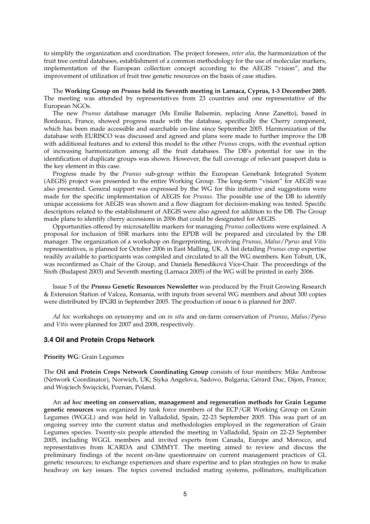to simplify the organization and coordination. The project foresees, *inter alia*, the harmonization of the fruit tree central databases, establishment of a common methodology for the use of molecular markers, implementation of the European collection concept according to the AEGIS "vision", and the improvement of utilization of fruit tree genetic resources on the basis of case studies.

 The **Working Group on** *Prunus* **held its Seventh meeting in Larnaca, Cyprus, 1-3 December 2005.** The meeting was attended by representatives from 23 countries and one representative of the European NGOs.

 The new *Prunus* database manager (Ms Emilie Balsemin, replacing Anne Zanetto), based in Bordeaux, France, showed progress made with the database, specifically the Cherry component, which has been made accessible and searchable on-line since September 2005. Harmonization of the database with EURISCO was discussed and agreed and plans were made to further improve the DB with additional features and to extend this model to the other *Prunus* crops, with the eventual option of increasing harmonization among all the fruit databases. The DB's potential for use in the identification of duplicate groups was shown. However, the full coverage of relevant passport data is the key element in this case.

Progress made by the *Prunus* sub-group within the European Genebank Integrated System (AEGIS) project was presented to the entire Working Group. The long-term "vision" for AEGIS was also presented. General support was expressed by the WG for this initiative and suggestions were made for the specific implementation of AEGIS for *Prunus*. The possible use of the DB to identify unique accessions for AEGIS was shown and a flow diagram for decision-making was tested. Specific descriptors related to the establishment of AEGIS were also agreed for addition to the DB. The Group made plans to identify cherry accessions in 2006 that could be designated for AEGIS.

Opportunities offered by microsatellite markers for managing *Prunus* collections were explained. A proposal for inclusion of SSR markers into the EPDB will be prepared and circulated by the DB manager. The organization of a workshop on fingerprinting, involving *Prunus*, *Malus*/*Pyrus* and *Vitis* representatives, is planned for October 2006 in East Malling, UK. A list detailing *Prunus* crop expertise readily available to participants was compiled and circulated to all the WG members. Ken Tobutt, UK, was reconfirmed as Chair of the Group, and Daniela Benediková Vice-Chair. The proceedings of the Sixth (Budapest 2003) and Seventh meeting (Larnaca 2005) of the WG will be printed in early 2006.

Issue 5 of the *Prunus* **Genetic Resources Newsletter** was produced by the Fruit Growing Research & Extension Station of Valcea, Romania, with inputs from several WG members and about 300 copies were distributed by IPGRI in September 2005. The production of issue 6 is planned for 2007.

 *Ad hoc* workshops on synonymy and on *in situ* and on-farm conservation of *Prunus*, *Malus*/*Pyrus* and *Vitis* were planned for 2007 and 2008, respectively.

## **3.4 Oil and Protein Crops Network**

#### **Priority WG**: Grain Legumes

The **Oil and Protein Crops Network Coordinating Group** consists of four members: Mike Ambrose (Network Coordinator), Norwich, UK; Siyka Angelova, Sadovo, Bulgaria; Gérard Duc, Dijon, France; and Wojciech Święcicki, Poznan, Poland.

 An *ad hoc* **meeting on conservation, management and regeneration methods for Grain Legume genetic resources** was organized by task force members of the ECP/GR Working Group on Grain Legumes (WGGL) and was held in Valladolid, Spain, 22-23 September 2005. This was part of an ongoing survey into the current status and methodologies employed in the regeneration of Grain Legumes species. Twenty-six people attended the meeting in Valladolid, Spain on 22-23 September 2005, including WGGL members and invited experts from Canada, Europe and Morocco, and representatives from ICARDA and CIMMYT. The meeting aimed to review and discuss the preliminary findings of the recent on-line questionnaire on current management practices of GL genetic resources; to exchange experiences and share expertise and to plan strategies on how to make headway on key issues. The topics covered included mating systems, pollinators, multiplication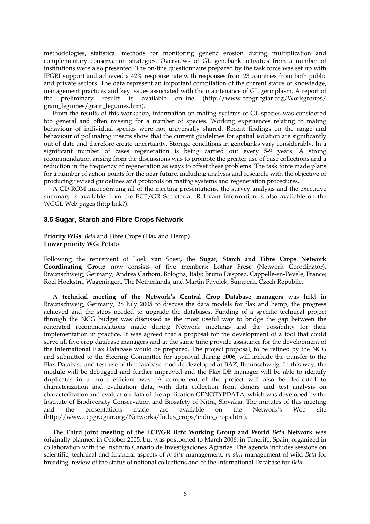methodologies, statistical methods for monitoring genetic erosion during multiplication and complementary conservation strategies. Overviews of GL genebank activities from a number of institutions were also presented. The on-line questionnaire prepared by the task force was set up with IPGRI support and achieved a 42% response rate with responses from 23 countries from both public and private sectors. The data represent an important compilation of the current status of knowledge, management practices and key issues associated with the maintenance of GL germplasm. A report of the preliminary results is available on-line (http://www.ecpgr.cgiar.org/Workgroups/ grain\_legumes/grain\_legumes.htm).

From the results of this workshop, information on mating systems of GL species was considered too general and often missing for a number of species. Working experiences relating to mating behaviour of individual species were not universally shared. Recent findings on the range and behaviour of pollinating insects show that the current guidelines for spatial isolation are significantly out of date and therefore create uncertainty. Storage conditions in genebanks vary considerably. In a significant number of cases regeneration is being carried out every 5-9 years. A strong recommendation arising from the discussions was to promote the greater use of base collections and a reduction in the frequency of regeneration as ways to offset these problems. The task force made plans for a number of action points for the near future, including analysis and research, with the objective of producing revised guidelines and protocols on mating systems and regeneration procedures.

A CD-ROM incorporating all of the meeting presentations, the survey analysis and the executive summary is available from the ECP/GR Secretariat. Relevant information is also available on the WGGL Web pages (http link?).

## **3.5 Sugar, Starch and Fibre Crops Network**

**Priority WGs**: *Beta* and Fibre Crops (Flax and Hemp) **Lower priority WG**: Potato

Following the retirement of Loek van Soest, the **Sugar, Starch and Fibre Crops Network Coordinating Group** now consists of five members: Lothar Frese (Network Coordinator), Braunschweig, Germany; Andrea Carboni, Bologna, Italy; Bruno Desprez, Cappelle-en-Pévèle, France; Roel Hoekstra, Wageningen, The Netherlands; and Martin Pavelek, Šumperk, Czech Republic.

 A **technical meeting of the Network's Central Crop Database managers** was held in Braunschweig, Germany, 28 July 2005 to discuss the data models for flax and hemp, the progress achieved and the steps needed to upgrade the databases. Funding of a specific technical project through the NCG budget was discussed as the most useful way to bridge the gap between the reiterated recommendations made during Network meetings and the possibility for their implementation in practice. It was agreed that a proposal for the development of a tool that could serve all five crop database managers and at the same time provide assistance for the development of the International Flax Database would be prepared. The project proposal, to be refined by the NCG and submitted to the Steering Committee for approval during 2006, will include the transfer to the Flax Database and test use of the database module developed at BAZ, Braunschweig. In this way, the module will be debugged and further improved and the Flax DB manager will be able to identify duplicates in a more efficient way. A component of the project will also be dedicated to characterization and evaluation data, with data collection from donors and test analysis on characterization and evaluation data of the application GENOTYPDATA, which was developed by the Institute of Biodiversity Conservation and Biosafety of Nitra, Slovakia. The minutes of this meeting and the presentations made are available on the Network's Web site (http://www.ecpgr.cgiar.org/Networks/Indus\_crops/indus\_crops.htm).

 The **Third joint meeting of the ECP/GR** *Beta* **Working Group and World** *Beta* **Network** was originally planned in October 2005, but was postponed to March 2006, in Tenerife, Spain, organized in collaboration with the Instituto Canario de Investigaciones Agrarias. The agenda includes sessions on scientific, technical and financial aspects of *in situ* management, *in situ* management of wild *Beta* for breeding, review of the status of national collections and of the International Database for *Beta*.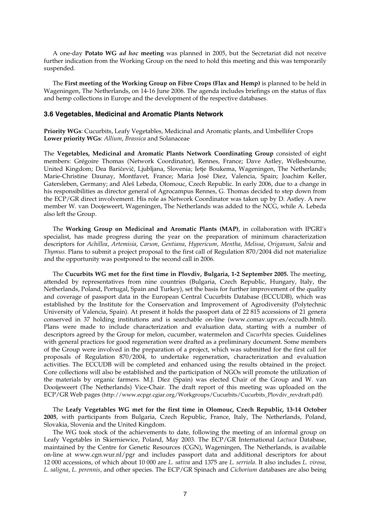A one-day **Potato WG** *ad hoc* **meeting** was planned in 2005, but the Secretariat did not receive further indication from the Working Group on the need to hold this meeting and this was temporarily suspended.

 The **First meeting of the Working Group on Fibre Crops (Flax and Hemp)** is planned to be held in Wageningen, The Netherlands, on 14-16 June 2006. The agenda includes briefings on the status of flax and hemp collections in Europe and the development of the respective databases.

#### **3.6 Vegetables, Medicinal and Aromatic Plants Network**

**Priority WGs**: Cucurbits, Leafy Vegetables, Medicinal and Aromatic plants, and Umbellifer Crops **Lower priority WGs**: *Allium*, *Brassica* and Solanaceae

The **Vegetables, Medicinal and Aromatic Plants Network Coordinating Group** consisted of eight members: Grégoire Thomas (Network Coordinator), Rennes, France; Dave Astley, Wellesbourne, United Kingdom; Dea Baričevič, Ljubljana, Slovenia; Ietje Boukema, Wageningen, The Netherlands; Marie-Christine Daunay, Montfavet, France; Maria José Diez, Valencia, Spain; Joachim Keller, Gatersleben, Germany; and Aleš Lebeda, Olomouc, Czech Republic. In early 2006, due to a change in his responsibilities as director general of Agrocampus Rennes, G. Thomas decided to step down from the ECP/GR direct involvement. His role as Network Coordinator was taken up by D. Astley. A new member W. van Doojeweert, Wageningen, The Netherlands was added to the NCG, while A. Lebeda also left the Group.

 The **Working Group on Medicinal and Aromatic Plants (MAP)**, in collaboration with IPGRI's specialist, has made progress during the year on the preparation of minimum characterization descriptors for *Achillea*, *Artemisia*, *Carum*, *Gentiana*, *Hypericum*, *Mentha*, *Melissa*, *Origanum*, *Salvia* and *Thymus.* Plans to submit a project proposal to the first call of Regulation 870/2004 did not materialize and the opportunity was postponed to the second call in 2006.

 The **Cucurbits WG met for the first time in Plovdiv, Bulgaria, 1-2 September 2005.** The meeting, attended by representatives from nine countries (Bulgaria, Czech Republic, Hungary, Italy, the Netherlands, Poland, Portugal, Spain and Turkey), set the basis for further improvement of the quality and coverage of passport data in the European Central Cucurbits Database (ECCUDB), which was established by the Institute for the Conservation and Improvement of Agrodiversity (Polytechnic University of Valencia, Spain). At present it holds the passport data of 22 815 accessions of 21 genera conserved in 37 holding institutions and is searchable on-line (www.comav.upv.es/eccudb.html). Plans were made to include characterization and evaluation data, starting with a number of descriptors agreed by the Group for melon, cucumber, watermelon and *Cucurbita* species. Guidelines with general practices for good regeneration were drafted as a preliminary document. Some members of the Group were involved in the preparation of a project, which was submitted for the first call for proposals of Regulation 870/2004, to undertake regeneration, characterization and evaluation activities. The ECCUDB will be completed and enhanced using the results obtained in the project. Core collections will also be established and the participation of NGOs will promote the utilization of the materials by organic farmers. M.J. Díez (Spain) was elected Chair of the Group and W. van Dooijeweert (The Netherlands) Vice-Chair. The draft report of this meeting was uploaded on the ECP/GR Web pages (http://www.ecpgr.cgiar.org/Workgroups/Cucurbits/Cucurbits\_Plovdiv\_revdraft.pdf).

 The **Leafy Vegetables WG met for the first time in Olomouc, Czech Republic, 13-14 October 2005**, with participants from Bulgaria, Czech Republic, France, Italy, The Netherlands, Poland, Slovakia, Slovenia and the United Kingdom.

The WG took stock of the achievements to date, following the meeting of an informal group on Leafy Vegetables in Skierniewice, Poland, May 2003. The ECP/GR International *Lactuca* Database, maintained by the Centre for Genetic Resources (CGN), Wageningen, The Netherlands, is available on-line at www.cgn.wur.nl/pgr and includes passport data and additional descriptors for about 12 000 accessions, of which about 10 000 are *L. sativa* and 1375 are *L. serriola*. It also includes *L. virosa*, *L. saligna*, *L. perennis*, and other species. The ECP/GR Spinach and *Cichorium* databases are also being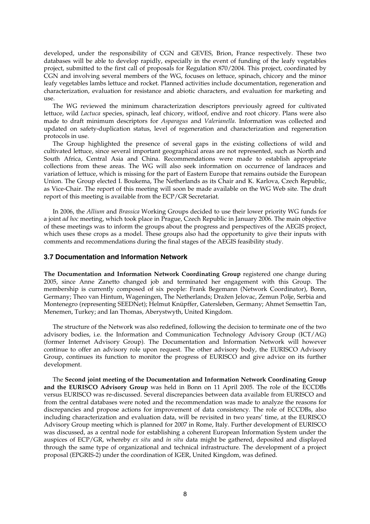developed, under the responsibility of CGN and GEVES, Brion, France respectively. These two databases will be able to develop rapidly, especially in the event of funding of the leafy vegetables project, submitted to the first call of proposals for Regulation 870/2004. This project, coordinated by CGN and involving several members of the WG, focuses on lettuce, spinach, chicory and the minor leafy vegetables lambs lettuce and rocket. Planned activities include documentation, regeneration and characterization, evaluation for resistance and abiotic characters, and evaluation for marketing and use.

The WG reviewed the minimum characterization descriptors previously agreed for cultivated lettuce, wild *Lactuca* species, spinach, leaf chicory, witloof, endive and root chicory. Plans were also made to draft minimum descriptors for *Asparagus* and *Valerianella*. Information was collected and updated on safety-duplication status, level of regeneration and characterization and regeneration protocols in use.

The Group highlighted the presence of several gaps in the existing collections of wild and cultivated lettuce, since several important geographical areas are not represented, such as North and South Africa, Central Asia and China. Recommendations were made to establish appropriate collections from these areas. The WG will also seek information on occurrence of landraces and variation of lettuce, which is missing for the part of Eastern Europe that remains outside the European Union. The Group elected I. Boukema, The Netherlands as its Chair and K. Karlova, Czech Republic, as Vice-Chair. The report of this meeting will soon be made available on the WG Web site. The draft report of this meeting is available from the ECP/GR Secretariat.

In 2006, the *Allium* and *Brassica* Working Groups decided to use their lower priority WG funds for a joint *ad hoc* meeting, which took place in Prague, Czech Republic in January 2006. The main objective of these meetings was to inform the groups about the progress and perspectives of the AEGIS project, which uses these crops as a model. These groups also had the opportunity to give their inputs with comments and recommendations during the final stages of the AEGIS feasibility study.

## **3.7 Documentation and Information Network**

**The Documentation and Information Network Coordinating Group** registered one change during 2005, since Anne Zanetto changed job and terminated her engagement with this Group. The membership is currently composed of six people: Frank Begemann (Network Coordinator), Bonn, Germany; Theo van Hintum, Wageningen, The Netherlands; Dražen Jelovac, Zemun Polje, Serbia and Montenegro (representing SEEDNet); Helmut Knüpffer, Gatersleben, Germany; Ahmet Semsettin Tan, Menemen, Turkey; and Ian Thomas, Aberystwyth, United Kingdom.

The structure of the Network was also redefined, following the decision to terminate one of the two advisory bodies, i.e. the Information and Communication Technology Advisory Group (ICT/AG) (former Internet Advisory Group). The Documentation and Information Network will however continue to offer an advisory role upon request. The other advisory body, the EURISCO Advisory Group, continues its function to monitor the progress of EURISCO and give advice on its further development.

 The **Second joint meeting of the Documentation and Information Network Coordinating Group and the EURISCO Advisory Group** was held in Bonn on 11 April 2005. The role of the ECCDBs versus EURISCO was re-discussed. Several discrepancies between data available from EURISCO and from the central databases were noted and the recommendation was made to analyze the reasons for discrepancies and propose actions for improvement of data consistency. The role of ECCDBs, also including characterization and evaluation data, will be revisited in two years' time, at the EURISCO Advisory Group meeting which is planned for 2007 in Rome, Italy. Further development of EURISCO was discussed, as a central node for establishing a coherent European Information System under the auspices of ECP/GR, whereby *ex situ* and *in situ* data might be gathered, deposited and displayed through the same type of organizational and technical infrastructure. The development of a project proposal (EPGRIS-2) under the coordination of IGER, United Kingdom, was defined.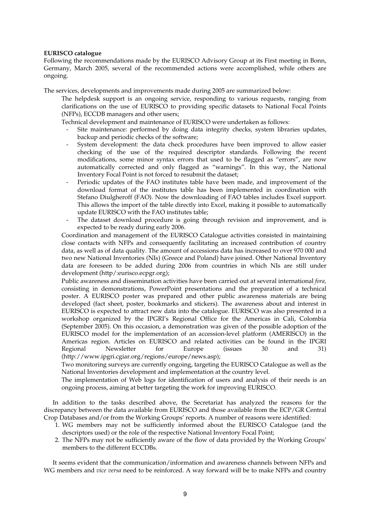## **EURISCO catalogue**

Following the recommendations made by the EURISCO Advisory Group at its First meeting in Bonn, Germany, March 2005, several of the recommended actions were accomplished, while others are ongoing.

The services, developments and improvements made during 2005 are summarized below:

The helpdesk support is an ongoing service, responding to various requests, ranging from clarifications on the use of EURISCO to providing specific datasets to National Focal Points (NFPs), ECCDB managers and other users;

Technical development and maintenance of EURISCO were undertaken as follows:

- Site maintenance: performed by doing data integrity checks, system libraries updates, backup and periodic checks of the software;
- System development: the data check procedures have been improved to allow easier checking of the use of the required descriptor standards. Following the recent modifications, some minor syntax errors that used to be flagged as "errors", are now automatically corrected and only flagged as "warnings". In this way, the National Inventory Focal Point is not forced to resubmit the dataset;
- Periodic updates of the FAO institutes table have been made, and improvement of the download format of the institutes table has been implemented in coordination with Stefano Diulgheroff (FAO). Now the downloading of FAO tables includes Excel support. This allows the import of the table directly into Excel, making it possible to automatically update EURISCO with the FAO institutes table;
- The dataset download procedure is going through revision and improvement, and is expected to be ready during early 2006.

Coordination and management of the EURISCO Catalogue activities consisted in maintaining close contacts with NFPs and consequently facilitating an increased contribution of country data, as well as of data quality. The amount of accessions data has increased to over 970 000 and two new National Inventories (NIs) (Greece and Poland) have joined. Other National Inventory data are foreseen to be added during 2006 from countries in which NIs are still under development (http/:eurisco.ecpgr.org);

Public awareness and dissemination activities have been carried out at several international *fora,* consisting in demonstrations, PowerPoint presentations and the preparation of a technical poster. A EURISCO poster was prepared and other public awareness materials are being developed (fact sheet, poster, bookmarks and stickers). The awareness about and interest in EURISCO is expected to attract new data into the catalogue. EURISCO was also presented in a workshop organized by the IPGRI's Regional Office for the Americas in Cali, Colombia (September 2005). On this occasion, a demonstration was given of the possible adoption of the EURISCO model for the implementation of an accession-level platform (AMERISCO) in the Americas region. Articles on EURISCO and related activities can be found in the IPGRI Regional Newsletter for Europe (issues 30 and 31) (http://www.ipgri.cgiar.org/regions/europe/news.asp);

Two monitoring surveys are currently ongoing, targeting the EURISCO Catalogue as well as the National Inventories development and implementation at the country level.

The implementation of Web logs for identification of users and analysis of their needs is an ongoing process, aiming at better targeting the work for improving EURISCO.

In addition to the tasks described above, the Secretariat has analyzed the reasons for the discrepancy between the data available from EURISCO and those available from the ECP/GR Central Crop Databases and/or from the Working Groups' reports. A number of reasons were identified:

- 1. WG members may not be sufficiently informed about the EURISCO Catalogue (and the descriptors used) or the role of the respective National Inventory Focal Point;
- 2. The NFPs may not be sufficiently aware of the flow of data provided by the Working Groups' members to the different ECCDBs.

It seems evident that the communication/information and awareness channels between NFPs and WG members and *vice versa* need to be reinforced. A way forward will be to make NFPs and country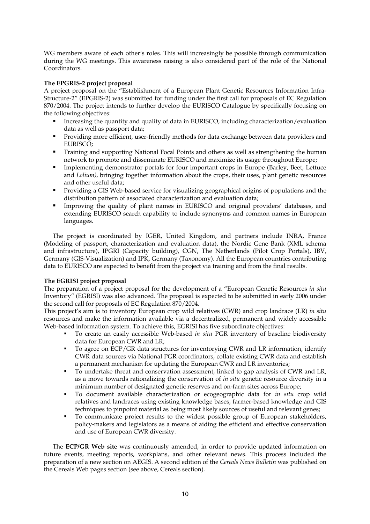WG members aware of each other's roles. This will increasingly be possible through communication during the WG meetings. This awareness raising is also considered part of the role of the National Coordinators.

## **The EPGRIS-2 project proposal**

A project proposal on the "Establishment of a European Plant Genetic Resources Information Infra-Structure-2" (EPGRIS-2) was submitted for funding under the first call for proposals of EC Regulation 870/2004. The project intends to further develop the EURISCO Catalogue by specifically focusing on the following objectives:

- Increasing the quantity and quality of data in EURISCO, including characterization/evaluation data as well as passport data;
- Providing more efficient, user-friendly methods for data exchange between data providers and EURISCO;
- Training and supporting National Focal Points and others as well as strengthening the human network to promote and disseminate EURISCO and maximize its usage throughout Europe;
- Implementing demonstrator portals for four important crops in Europe (Barley, Beet, Lettuce and *Lolium),* bringing together information about the crops, their uses, plant genetic resources and other useful data;
- Providing a GIS Web-based service for visualizing geographical origins of populations and the distribution pattern of associated characterization and evaluation data;
- Improving the quality of plant names in EURISCO and original providers' databases, and extending EURISCO search capability to include synonyms and common names in European languages.

The project is coordinated by IGER, United Kingdom, and partners include INRA, France (Modeling of passport, characterization and evaluation data), the Nordic Gene Bank (XML schema and infrastructure), IPGRI (Capacity building), CGN, The Netherlands (Pilot Crop Portals), IBV, Germany (GIS-Visualization) and IPK, Germany (Taxonomy). All the European countries contributing data to EURISCO are expected to benefit from the project via training and from the final results.

## **The EGRISI project proposal**

The preparation of a project proposal for the development of a "European Genetic Resources *in situ* Inventory" (EGRISI) was also advanced. The proposal is expected to be submitted in early 2006 under the second call for proposals of EC Regulation 870/2004.

This project's aim is to inventory European crop wild relatives (CWR) and crop landrace (LR) *in situ* resources and make the information available via a decentralized, permanent and widely accessible Web-based information system. To achieve this, EGRISI has five subordinate objectives:

- To create an easily accessible Web-based *in situ* PGR inventory of baseline biodiversity data for European CWR and LR;
- To agree on ECP/GR data structures for inventorying CWR and LR information, identify CWR data sources via National PGR coordinators, collate existing CWR data and establish a permanent mechanism for updating the European CWR and LR inventories;
- To undertake threat and conservation assessment, linked to gap analysis of CWR and LR, as a move towards rationalizing the conservation of *in situ* genetic resource diversity in a minimum number of designated genetic reserves and on-farm sites across Europe;
- To document available characterization or ecogeographic data for *in situ* crop wild relatives and landraces using existing knowledge bases, farmer-based knowledge and GIS techniques to pinpoint material as being most likely sources of useful and relevant genes;
- To communicate project results to the widest possible group of European stakeholders, policy-makers and legislators as a means of aiding the efficient and effective conservation and use of European CWR diversity.

 The **ECP/GR Web site** was continuously amended, in order to provide updated information on future events, meeting reports, workplans, and other relevant news. This process included the preparation of a new section on AEGIS. A second edition of the *Cereals News Bulletin* was published on the Cereals Web pages section (see above, Cereals section).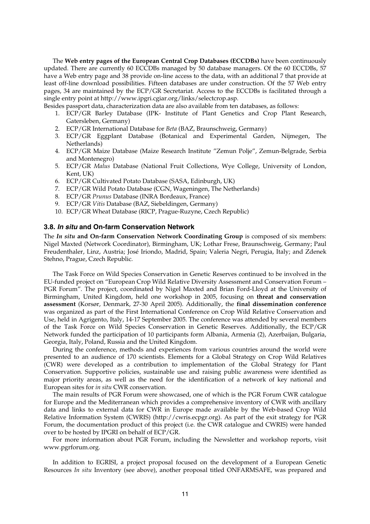The **Web entry pages of the European Central Crop Databases (ECCDBs)** have been continuously updated. There are currently 60 ECCDBs managed by 50 database managers. Of the 60 ECCDBs, 57 have a Web entry page and 38 provide on-line access to the data, with an additional 7 that provide at least off-line download possibilities. Fifteen databases are under construction. Of the 57 Web entry pages, 34 are maintained by the ECP/GR Secretariat. Access to the ECCDBs is facilitated through a single entry point at http://www.ipgri.cgiar.org/links/selectcrop.asp.

Besides passport data, characterization data are also available from ten databases, as follows:

- 1. ECP/GR Barley Database (IPK- Institute of Plant Genetics and Crop Plant Research, Gatersleben, Germany)
- 2. ECP/GR International Database for *Beta* (BAZ, Braunschweig, Germany)
- 3. ECP/GR Eggplant Database (Botanical and Experimental Garden, Nijmegen, The Netherlands)
- 4. ECP/GR Maize Database (Maize Research Institute "Zemun Polje", Zemun-Belgrade, Serbia and Montenegro)
- 5. ECP/GR *Malus* Database (National Fruit Collections, Wye College, University of London, Kent, UK)
- 6. ECP/GR Cultivated Potato Database (SASA, Edinburgh, UK)
- 7. ECP/GR Wild Potato Database (CGN, Wageningen, The Netherlands)
- 8. ECP/GR *Prunus* Database (INRA Bordeaux, France)
- 9. ECP/GR *Vitis* Database (BAZ, Siebeldingen, Germany)
- 10. ECP/GR Wheat Database (RICP, Prague-Ruzyne, Czech Republic)

## **3.8.** *In situ* **and On-farm Conservation Network**

The *In situ* **and On-farm Conservation Network Coordinating Group** is composed of six members: Nigel Maxted (Network Coordinator), Birmingham, UK; Lothar Frese, Braunschweig, Germany; Paul Freudenthaler, Linz, Austria; José Iriondo, Madrid, Spain; Valeria Negri, Perugia, Italy; and Zdenek Stehno, Prague, Czech Republic.

The Task Force on Wild Species Conservation in Genetic Reserves continued to be involved in the EU-funded project on "European Crop Wild Relative Diversity Assessment and Conservation Forum – PGR Forum". The project, coordinated by Nigel Maxted and Brian Ford-Lloyd at the University of Birmingham, United Kingdom, held one workshop in 2005, focusing on **threat and conservation assessment** (Korsør, Denmark, 27-30 April 2005). Additionally, the **final dissemination conference** was organized as part of the First International Conference on Crop Wild Relative Conservation and Use, held in Agrigento, Italy, 14-17 September 2005. The conference was attended by several members of the Task Force on Wild Species Conservation in Genetic Reserves. Additionally, the ECP/GR Network funded the participation of 10 participants form Albania, Armenia (2), Azerbaijan, Bulgaria, Georgia, Italy, Poland, Russia and the United Kingdom.

During the conference, methods and experiences from various countries around the world were presented to an audience of 170 scientists. Elements for a Global Strategy on Crop Wild Relatives (CWR) were developed as a contribution to implementation of the Global Strategy for Plant Conservation. Supportive policies, sustainable use and raising public awareness were identified as major priority areas, as well as the need for the identification of a network of key national and European sites for *in situ* CWR conservation.

The main results of PGR Forum were showcased, one of which is the PGR Forum CWR catalogue for Europe and the Mediterranean which provides a comprehensive inventory of CWR with ancillary data and links to external data for CWR in Europe made available by the Web-based Crop Wild Relative Information System (CWRIS) (http://cwris.ecpgr.org). As part of the exit strategy for PGR Forum, the documentation product of this project (i.e. the CWR catalogue and CWRIS) were handed over to be hosted by IPGRI on behalf of ECP/GR.

For more information about PGR Forum, including the Newsletter and workshop reports, visit www.pgrforum.org.

In addition to EGRISI, a project proposal focused on the development of a European Genetic Resources *In situ* Inventory (see above), another proposal titled ONFARMSAFE, was prepared and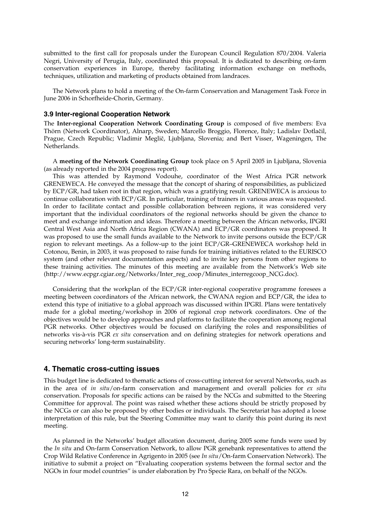submitted to the first call for proposals under the European Council Regulation 870/2004. Valeria Negri, University of Perugia, Italy, coordinated this proposal. It is dedicated to describing on-farm conservation experiences in Europe, thereby facilitating information exchange on methods, techniques, utilization and marketing of products obtained from landraces.

The Network plans to hold a meeting of the On-farm Conservation and Management Task Force in June 2006 in Schorfheide-Chorin, Germany.

#### **3.9 Inter-regional Cooperation Network**

The **Inter-regional Cooperation Network Coordinating Group** is composed of five members: Eva Thörn (Network Coordinator), Alnarp, Sweden; Marcello Broggio, Florence, Italy; Ladislav Dotlačil, Prague, Czech Republic; Vladimir Meglič, Ljubljana, Slovenia; and Bert Visser, Wageningen, The Netherlands.

 A **meeting of the Network Coordinating Group** took place on 5 April 2005 in Ljubljana, Slovenia (as already reported in the 2004 progress report).

This was attended by Raymond Vodouhe, coordinator of the West Africa PGR network GRENEWECA. He conveyed the message that the concept of sharing of responsibilities, as publicized by ECP/GR, had taken root in that region, which was a gratifying result. GRENEWECA is anxious to continue collaboration with ECP/GR. In particular, training of trainers in various areas was requested. In order to facilitate contact and possible collaboration between regions, it was considered very important that the individual coordinators of the regional networks should be given the chance to meet and exchange information and ideas. Therefore a meeting between the African networks, IPGRI Central West Asia and North Africa Region (CWANA) and ECP/GR coordinators was proposed. It was proposed to use the small funds available to the Network to invite persons outside the ECP/GR region to relevant meetings. As a follow-up to the joint ECP/GR–GRENEWECA workshop held in Cotonou, Benin, in 2003, it was proposed to raise funds for training initiatives related to the EURISCO system (and other relevant documentation aspects) and to invite key persons from other regions to these training activities. The minutes of this meeting are available from the Network's Web site (http://www.ecpgr.cgiar.org/Networks/Inter\_reg\_coop/Minutes\_interregcoop\_NCG.doc).

Considering that the workplan of the ECP/GR inter-regional cooperative programme foresees a meeting between coordinators of the African network, the CWANA region and ECP/GR, the idea to extend this type of initiative to a global approach was discussed within IPGRI. Plans were tentatively made for a global meeting/workshop in 2006 of regional crop network coordinators. One of the objectives would be to develop approaches and platforms to facilitate the cooperation among regional PGR networks. Other objectives would be focused on clarifying the roles and responsibilities of networks vis-à-vis PGR *ex situ* conservation and on defining strategies for network operations and securing networks' long-term sustainability.

## **4. Thematic cross-cutting issues**

This budget line is dedicated to thematic actions of cross-cutting interest for several Networks, such as in the area of *in situ*/on-farm conservation and management and overall policies for *ex situ* conservation. Proposals for specific actions can be raised by the NCGs and submitted to the Steering Committee for approval. The point was raised whether these actions should be strictly proposed by the NCGs or can also be proposed by other bodies or individuals. The Secretariat has adopted a loose interpretation of this rule, but the Steering Committee may want to clarify this point during its next meeting.

As planned in the Networks' budget allocation document, during 2005 some funds were used by the *In situ* and On-farm Conservation Network, to allow PGR genebank representatives to attend the Crop Wild Relative Conference in Agrigento in 2005 (see *In situ*/On-farm Conservation Network). The initiative to submit a project on "Evaluating cooperation systems between the formal sector and the NGOs in four model countries" is under elaboration by Pro Specie Rara, on behalf of the NGOs.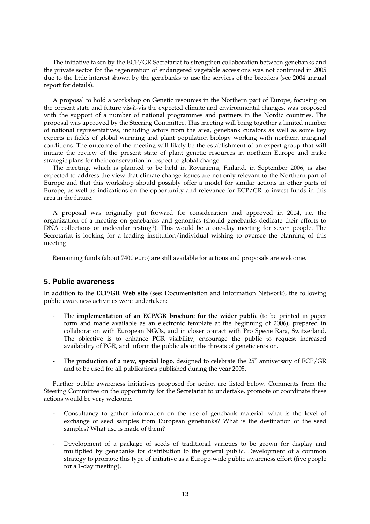The initiative taken by the ECP/GR Secretariat to strengthen collaboration between genebanks and the private sector for the regeneration of endangered vegetable accessions was not continued in 2005 due to the little interest shown by the genebanks to use the services of the breeders (see 2004 annual report for details).

A proposal to hold a workshop on Genetic resources in the Northern part of Europe, focusing on the present state and future vis-à-vis the expected climate and environmental changes, was proposed with the support of a number of national programmes and partners in the Nordic countries. The proposal was approved by the Steering Committee. This meeting will bring together a limited number of national representatives, including actors from the area, genebank curators as well as some key experts in fields of global warming and plant population biology working with northern marginal conditions. The outcome of the meeting will likely be the establishment of an expert group that will initiate the review of the present state of plant genetic resources in northern Europe and make strategic plans for their conservation in respect to global change.

The meeting, which is planned to be held in Rovaniemi, Finland, in September 2006, is also expected to address the view that climate change issues are not only relevant to the Northern part of Europe and that this workshop should possibly offer a model for similar actions in other parts of Europe, as well as indications on the opportunity and relevance for ECP/GR to invest funds in this area in the future.

A proposal was originally put forward for consideration and approved in 2004, i.e. the organization of a meeting on genebanks and genomics (should genebanks dedicate their efforts to DNA collections or molecular testing?). This would be a one-day meeting for seven people. The Secretariat is looking for a leading institution/individual wishing to oversee the planning of this meeting.

Remaining funds (about 7400 euro) are still available for actions and proposals are welcome.

## **5. Public awareness**

In addition to the **ECP/GR Web site** (see: Documentation and Information Network), the following public awareness activities were undertaken:

- The **implementation of an ECP/GR brochure for the wider public** (to be printed in paper form and made available as an electronic template at the beginning of 2006), prepared in collaboration with European NGOs, and in closer contact with Pro Specie Rara, Switzerland. The objective is to enhance PGR visibility, encourage the public to request increased availability of PGR, and inform the public about the threats of genetic erosion.
- The **production of a new, special logo**, designed to celebrate the 25<sup>th</sup> anniversary of ECP/GR and to be used for all publications published during the year 2005.

Further public awareness initiatives proposed for action are listed below. Comments from the Steering Committee on the opportunity for the Secretariat to undertake, promote or coordinate these actions would be very welcome.

- Consultancy to gather information on the use of genebank material: what is the level of exchange of seed samples from European genebanks? What is the destination of the seed samples? What use is made of them?
- Development of a package of seeds of traditional varieties to be grown for display and multiplied by genebanks for distribution to the general public. Development of a common strategy to promote this type of initiative as a Europe-wide public awareness effort (five people for a 1-day meeting).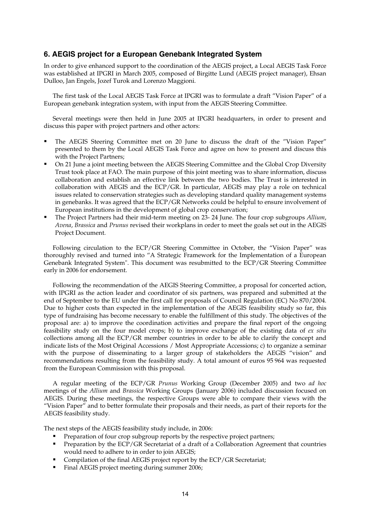## **6. AEGIS project for a European Genebank Integrated System**

In order to give enhanced support to the coordination of the AEGIS project, a Local AEGIS Task Force was established at IPGRI in March 2005, composed of Birgitte Lund (AEGIS project manager), Ehsan Dulloo, Jan Engels, Jozef Turok and Lorenzo Maggioni.

The first task of the Local AEGIS Task Force at IPGRI was to formulate a draft "Vision Paper" of a European genebank integration system, with input from the AEGIS Steering Committee.

Several meetings were then held in June 2005 at IPGRI headquarters, in order to present and discuss this paper with project partners and other actors:

- The AEGIS Steering Committee met on 20 June to discuss the draft of the "Vision Paper" presented to them by the Local AEGIS Task Force and agree on how to present and discuss this with the Project Partners;
- On 21 June a joint meeting between the AEGIS Steering Committee and the Global Crop Diversity Trust took place at FAO. The main purpose of this joint meeting was to share information, discuss collaboration and establish an effective link between the two bodies. The Trust is interested in collaboration with AEGIS and the ECP/GR. In particular, AEGIS may play a role on technical issues related to conservation strategies such as developing standard quality management systems in genebanks. It was agreed that the ECP/GR Networks could be helpful to ensure involvement of European institutions in the development of global crop conservation;
- The Project Partners had their mid-term meeting on 23- 24 June. The four crop subgroups *Allium*, *Avena*, *Brassica* and *Prunus* revised their workplans in order to meet the goals set out in the AEGIS Project Document.

Following circulation to the ECP/GR Steering Committee in October, the "Vision Paper" was thoroughly revised and turned into "A Strategic Framework for the Implementation of a European Genebank Integrated System". This document was resubmitted to the ECP/GR Steering Committee early in 2006 for endorsement.

Following the recommendation of the AEGIS Steering Committee, a proposal for concerted action, with IPGRI as the action leader and coordinator of six partners, was prepared and submitted at the end of September to the EU under the first call for proposals of Council Regulation (EC) No 870/2004. Due to higher costs than expected in the implementation of the AEGIS feasibility study so far, this type of fundraising has become necessary to enable the fulfillment of this study. The objectives of the proposal are: a) to improve the coordination activities and prepare the final report of the ongoing feasibility study on the four model crops; b) to improve exchange of the existing data of *ex situ* collections among all the ECP/GR member countries in order to be able to clarify the concept and indicate lists of the Most Original Accessions / Most Appropriate Accessions; c) to organize a seminar with the purpose of disseminating to a larger group of stakeholders the AEGIS "vision" and recommendations resulting from the feasibility study. A total amount of euros 95 964 was requested from the European Commission with this proposal.

A regular meeting of the ECP/GR *Prunus* Working Group (December 2005) and two *ad hoc* meetings of the *Allium* and *Brassica* Working Groups (January 2006) included discussion focused on AEGIS. During these meetings, the respective Groups were able to compare their views with the "Vision Paper" and to better formulate their proposals and their needs, as part of their reports for the AEGIS feasibility study.

The next steps of the AEGIS feasibility study include, in 2006:

- Preparation of four crop subgroup reports by the respective project partners;
- Preparation by the ECP/GR Secretariat of a draft of a Collaboration Agreement that countries would need to adhere to in order to join AEGIS;
- Compilation of the final AEGIS project report by the ECP/GR Secretariat;
- Final AEGIS project meeting during summer 2006;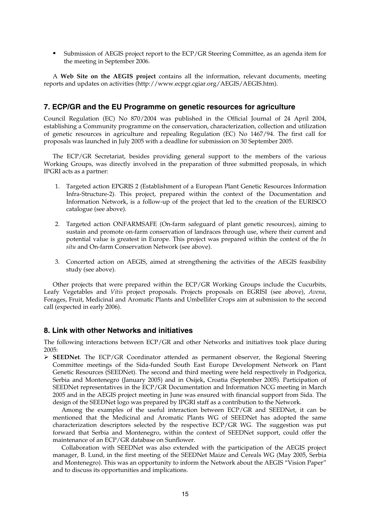Submission of AEGIS project report to the ECP/GR Steering Committee, as an agenda item for the meeting in September 2006.

A **Web Site on the AEGIS project** contains all the information, relevant documents, meeting reports and updates on activities (http://www.ecpgr.cgiar.org/AEGIS/AEGIS.htm).

## **7. ECP/GR and the EU Programme on genetic resources for agriculture**

Council Regulation (EC) No 870/2004 was published in the Official Journal of 24 April 2004, establishing a Community programme on the conservation, characterization, collection and utilization of genetic resources in agriculture and repealing Regulation (EC) No 1467/94. The first call for proposals was launched in July 2005 with a deadline for submission on 30 September 2005.

The ECP/GR Secretariat, besides providing general support to the members of the various Working Groups, was directly involved in the preparation of three submitted proposals, in which IPGRI acts as a partner:

- 1. Targeted action EPGRIS 2 (Establishment of a European Plant Genetic Resources Information Infra-Structure-2). This project, prepared within the context of the Documentation and Information Network, is a follow-up of the project that led to the creation of the EURISCO catalogue (see above).
- 2. Targeted action ONFARMSAFE (On-farm safeguard of plant genetic resources), aiming to sustain and promote on-farm conservation of landraces through use, where their current and potential value is greatest in Europe. This project was prepared within the context of the *In situ* and On-farm Conservation Network (see above).
- 3. Concerted action on AEGIS, aimed at strengthening the activities of the AEGIS feasibility study (see above).

Other projects that were prepared within the ECP/GR Working Groups include the Cucurbits, Leafy Vegetables and *Vitis* project proposals. Projects proposals on EGRISI (see above), *Avena*, Forages, Fruit, Medicinal and Aromatic Plants and Umbellifer Crops aim at submission to the second call (expected in early 2006).

## **8. Link with other Networks and initiatives**

The following interactions between ECP/GR and other Networks and initiatives took place during 2005:

¾ **SEEDNet**. The ECP/GR Coordinator attended as permanent observer, the Regional Steering Committee meetings of the Sida-funded South East Europe Development Network on Plant Genetic Resources (SEEDNet). The second and third meeting were held respectively in Podgorica, Serbia and Montenegro (January 2005) and in Osijek, Croatia (September 2005). Participation of SEEDNet representatives in the ECP/GR Documentation and Information NCG meeting in March 2005 and in the AEGIS project meeting in June was ensured with financial support from Sida. The design of the SEEDNet logo was prepared by IPGRI staff as a contribution to the Network.

Among the examples of the useful interaction between ECP/GR and SEEDNet, it can be mentioned that the Medicinal and Aromatic Plants WG of SEEDNet has adopted the same characterization descriptors selected by the respective ECP/GR WG. The suggestion was put forward that Serbia and Montenegro, within the context of SEEDNet support, could offer the maintenance of an ECP/GR database on Sunflower.

Collaboration with SEEDNet was also extended with the participation of the AEGIS project manager, B. Lund, in the first meeting of the SEEDNet Maize and Cereals WG (May 2005, Serbia and Montenegro). This was an opportunity to inform the Network about the AEGIS "Vision Paper" and to discuss its opportunities and implications.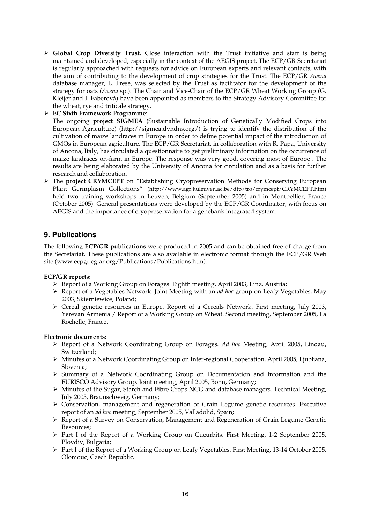- ¾ **Global Crop Diversity Trust**. Close interaction with the Trust initiative and staff is being maintained and developed, especially in the context of the AEGIS project. The ECP/GR Secretariat is regularly approached with requests for advice on European experts and relevant contacts, with the aim of contributing to the development of crop strategies for the Trust. The ECP/GR *Avena* database manager, L. Frese, was selected by the Trust as facilitator for the development of the strategy for oats (*Avena* sp.). The Chair and Vice-Chair of the ECP/GR Wheat Working Group (G. Kleijer and I. Faberová) have been appointed as members to the Strategy Advisory Committee for the wheat, rye and triticale strategy.
- ¾ **EC Sixth Framework Programme**:

The ongoing **project SIGMEA** (Sustainable Introduction of Genetically Modified Crops into European Agriculture) (http://sigmea.dyndns.org/) is trying to identify the distribution of the cultivation of maize landraces in Europe in order to define potential impact of the introduction of GMOs in European agriculture. The ECP/GR Secretariat, in collaboration with R. Papa, University of Ancona, Italy, has circulated a questionnaire to get preliminary information on the occurrence of maize landraces on-farm in Europe. The response was very good, covering most of Europe . The results are being elaborated by the University of Ancona for circulation and as a basis for further research and collaboration.

¾ The **project CRYMCEPT** on "Establishing Cryopreservation Methods for Conserving European Plant Germplasm Collections" (http://www.agr.kuleuven.ac.be/dtp/tro/crymcept/CRYMCEPT.htm) held two training workshops in Leuven, Belgium (September 2005) and in Montpellier, France (October 2005). General presentations were developed by the ECP/GR Coordinator, with focus on AEGIS and the importance of cryopreservation for a genebank integrated system.

## **9. Publications**

The following **ECP/GR publications** were produced in 2005 and can be obtained free of charge from the Secretariat. These publications are also available in electronic format through the ECP/GR Web site (www.ecpgr.cgiar.org/Publications/Publications.htm).

## **ECP/GR reports:**

- $\triangleright$  Report of a Working Group on Forages. Eighth meeting, April 2003, Linz, Austria;
- ¾ Report of a Vegetables Network. Joint Meeting with an *ad hoc* group on Leafy Vegetables, May 2003, Skierniewice, Poland;
- ¾ Cereal genetic resources in Europe. Report of a Cereals Network. First meeting, July 2003, Yerevan Armenia / Report of a Working Group on Wheat. Second meeting, September 2005, La Rochelle, France.

## **Electronic documents:**

- ¾ Report of a Network Coordinating Group on Forages. *Ad hoc* Meeting, April 2005, Lindau, Switzerland;
- ¾ Minutes of a Network Coordinating Group on Inter-regional Cooperation, April 2005, Ljubljana, Slovenia;
- ¾ Summary of a Network Coordinating Group on Documentation and Information and the EURISCO Advisory Group. Joint meeting, April 2005, Bonn, Germany;
- $\triangleright$  Minutes of the Sugar, Starch and Fibre Crops NCG and database managers. Technical Meeting, July 2005, Braunschweig, Germany;
- $\triangleright$  Conservation, management and regeneration of Grain Legume genetic resources. Executive report of an *ad hoc* meeting, September 2005, Valladolid, Spain;
- ¾ Report of a Survey on Conservation, Management and Regeneration of Grain Legume Genetic Resources;
- ¾ Part I of the Report of a Working Group on Cucurbits. First Meeting, 1-2 September 2005, Plovdiv, Bulgaria;
- $\triangleright$  Part I of the Report of a Working Group on Leafy Vegetables. First Meeting, 13-14 October 2005, Olomouc, Czech Republic.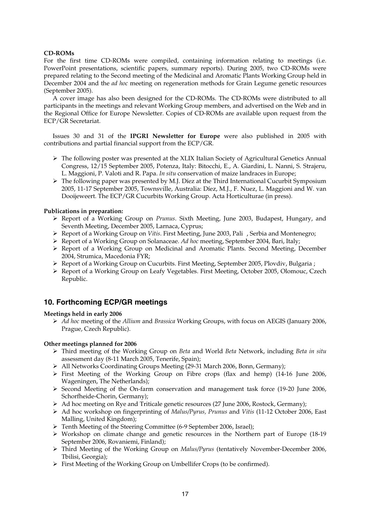## **CD-ROMs**

For the first time CD-ROMs were compiled, containing information relating to meetings (i.e. PowerPoint presentations, scientific papers, summary reports). During 2005, two CD-ROMs were prepared relating to the Second meeting of the Medicinal and Aromatic Plants Working Group held in December 2004 and the *ad hoc* meeting on regeneration methods for Grain Legume genetic resources (September 2005).

A cover image has also been designed for the CD-ROMs. The CD-ROMs were distributed to all participants in the meetings and relevant Working Group members, and advertised on the Web and in the Regional Office for Europe Newsletter. Copies of CD-ROMs are available upon request from the ECP/GR Secretariat.

Issues 30 and 31 of the **IPGRI Newsletter for Europe** were also published in 2005 with contributions and partial financial support from the ECP/GR.

- $\triangleright$  The following poster was presented at the XLIX Italian Society of Agricultural Genetics Annual Congress, 12/15 September 2005, Potenza, Italy: Bitocchi, E., A. Giardini, L. Nanni, S. Strajeru, L. Maggioni, P. Valoti and R. Papa. *In situ* conservation of maize landraces in Europe;
- $\triangleright$  The following paper was presented by M.J. Díez at the Third International Cucurbit Symposium 2005, 11-17 September 2005, Townsville, Australia: Díez, M.J., F. Nuez, L. Maggioni and W. van Dooijeweert. The ECP/GR Cucurbits Working Group. Acta Horticulturae (in press).

## **Publications in preparation:**

- ¾ Report of a Working Group on *Prunus*. Sixth Meeting, June 2003, Budapest, Hungary, and Seventh Meeting, December 2005, Larnaca, Cyprus;
- ¾ Report of a Working Group on *Vitis*. First Meeting, June 2003, Pali , Serbia and Montenegro;
- ¾ Report of a Working Group on Solanaceae. *Ad hoc* meeting, September 2004, Bari, Italy;
- ¾ Report of a Working Group on Medicinal and Aromatic Plants. Second Meeting, December 2004, Strumica, Macedonia FYR;
- $\triangleright$  Report of a Working Group on Cucurbits. First Meeting, September 2005, Plovdiv, Bulgaria ;
- ¾ Report of a Working Group on Leafy Vegetables. First Meeting, October 2005, Olomouc, Czech Republic.

## **10. Forthcoming ECP/GR meetings**

## **Meetings held in early 2006**

¾ *Ad hoc* meeting of the *Allium* and *Brassica* Working Groups, with focus on AEGIS (January 2006, Prague, Czech Republic).

## **Other meetings planned for 2006**

- ¾ Third meeting of the Working Group on *Beta* and World *Beta* Network, including *Beta in situ* assessment day (8-11 March 2005, Tenerife, Spain);
- ¾ All Networks Coordinating Groups Meeting (29-31 March 2006, Bonn, Germany);
- ¾ First Meeting of the Working Group on Fibre crops (flax and hemp) (14-16 June 2006, Wageningen, The Netherlands);
- $\triangleright$  Second Meeting of the On-farm conservation and management task force (19-20 June 2006, Schorfheide-Chorin, Germany);
- ¾ Ad hoc meeting on Rye and Triticale genetic resources (27 June 2006, Rostock, Germany);
- ¾ Ad hoc workshop on fingerprinting of *Malus/Pyrus, Prunus* and *Vitis* (11-12 October 2006, East Malling, United Kingdom);
- ¾ Tenth Meeting of the Steering Committee (6-9 September 2006, Israel);
- $\triangleright$  Workshop on climate change and genetic resources in the Northern part of Europe (18-19) September 2006, Rovaniemi, Finland);
- ¾ Third Meeting of the Working Group on *Malus/Pyrus* (tentatively November-December 2006, Tbilisi, Georgia);
- $\triangleright$  First Meeting of the Working Group on Umbellifer Crops (to be confirmed).